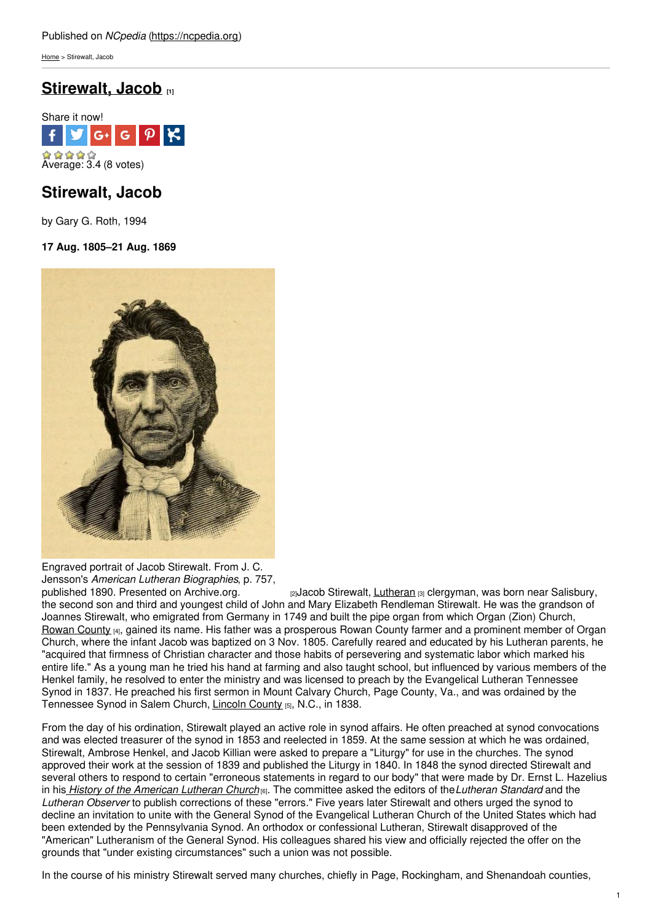[Home](https://ncpedia.org/) > Stirewalt, Jacob

# **[Stirewalt,](https://ncpedia.org/biography/stirewalt-jacob) Jacob [1]**



## **Stirewalt, Jacob**

by Gary G. Roth, 1994

### **17 Aug. 1805–21 Aug. 1869**



Engraved portrait of Jacob Stirewalt. From J. C. Jensson's *American Lutheran Biographies*, p. 757,

[2]Jacob Stirewalt, [Lutheran](https://ncpedia.org/lutheran-church) [3] clergyman, was born near Salisbury, the second son and third and youngest child of John and Mary Elizabeth Rendleman Stirewalt. He was the grandson of Joannes Stirewalt, who emigrated from Germany in 1749 and built the pipe organ from which Organ (Zion) Church, [Rowan](https://ncpedia.org/geography/rowan) County [4], gained its name. His father was a prosperous Rowan County farmer and a prominent member of Organ Church, where the infant Jacob was baptized on 3 Nov. 1805. Carefully reared and educated by his Lutheran parents, he "acquired that firmness of Christian character and those habits of persevering and systematic labor which marked his entire life." As a young man he tried his hand at farming and also taught school, but influenced by various members of the Henkel family, he resolved to enter the ministry and was licensed to preach by the Evangelical Lutheran Tennessee Synod in 1837. He preached his first sermon in Mount Calvary Church, Page County, Va., and was ordained by the Tennessee Synod in Salem Church, [Lincoln](https://ncpedia.org/geography/lincoln) County [5], N.C., in 1838.

From the day of his ordination, Stirewalt played an active role in synod affairs. He often preached at synod convocations and was elected treasurer of the synod in 1853 and reelected in 1859. At the same session at which he was ordained, Stirewalt, Ambrose Henkel, and Jacob Killian were asked to prepare a "Liturgy" for use in the churches. The synod approved their work at the session of 1839 and published the Liturgy in 1840. In 1848 the synod directed Stirewalt and several others to respond to certain "erroneous statements in regard to our body" that were made by Dr. Ernst L. Hazelius in his *History of the [American](https://archive.org/details/historyamerican01hazegoog) Lutheran Church* [6]. The committee asked the editors of the*Lutheran Standard* and the *Lutheran Observer* to publish corrections of these "errors." Five years later Stirewalt and others urged the synod to decline an invitation to unite with the General Synod of the Evangelical Lutheran Church of the United States which had been extended by the Pennsylvania Synod. An orthodox or confessional Lutheran, Stirewalt disapproved of the "American" Lutheranism of the General Synod. His colleagues shared his view and officially rejected the offer on the grounds that "under existing circumstances" such a union was not possible.

In the course of his ministry Stirewalt served many churches, chiefly in Page, Rockingham, and Shenandoah counties,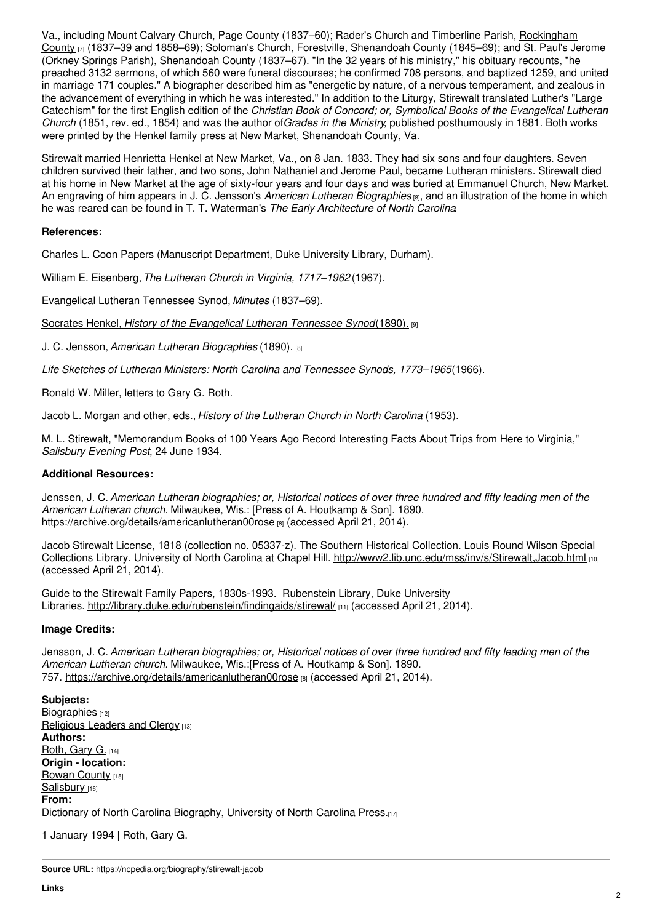Va., including Mount Calvary Church, Page County (1837–60); Rader's Church and Timberline Parish, Rockingham County [7] (1837–39 and 1858–69); Soloman's Church, Forestville, [Shenandoah](https://ncpedia.org/geography/rockingham) County (1845–69); and St. Paul's Jerome (Orkney Springs Parish), Shenandoah County (1837–67). "In the 32 years of his ministry," his obituary recounts, "he preached 3132 sermons, of which 560 were funeral discourses; he confirmed 708 persons, and baptized 1259, and united in marriage 171 couples." A biographer described him as "energetic by nature, of a nervous temperament, and zealous in the advancement of everything in which he was interested." In addition to the Liturgy, Stirewalt translated Luther's "Large Catechism" for the first English edition of the *Christian Book of Concord; or, Symbolical Books of the Evangelical Lutheran Church* (1851, rev. ed., 1854) and was the author of*Grades in the Ministry*, published posthumously in 1881. Both works were printed by the Henkel family press at New Market, Shenandoah County, Va.

Stirewalt married Henrietta Henkel at New Market, Va., on 8 Jan. 1833. They had six sons and four daughters. Seven children survived their father, and two sons, John Nathaniel and Jerome Paul, became Lutheran ministers. Stirewalt died at his home in New Market at the age of sixty-four years and four days and was buried at Emmanuel Church, New Market. An engraving of him appears in J. C. Jensson's *American Lutheran [Biographies](https://archive.org/details/americanlutheran00rose)* [8], and an illustration of the home in which he was reared can be found in T. T. Waterman's *The Early Architecture of North Carolina*.

#### **References:**

Charles L. Coon Papers (Manuscript Department, Duke University Library, Durham).

William E. Eisenberg,*The Lutheran Church in Virginia, 1717–1962* (1967).

Evangelical Lutheran Tennessee Synod, *Minutes* (1837–69).

Socrates Henkel, *History of the [Evangelical](https://archive.org/details/historyofevange00henk) Lutheran Tennessee Synod*(1890). [9]

J. C. Jensson, *American Lutheran [Biographies](https://archive.org/details/americanlutheran00rose)* (1890). [8]

*Life Sketches of Lutheran Ministers: North Carolina and Tennessee Synods, 1773–1965*(1966).

Ronald W. Miller, letters to Gary G. Roth.

Jacob L. Morgan and other, eds., *History of the Lutheran Church in North Carolina* (1953).

M. L. Stirewalt, "Memorandum Books of 100 Years Ago Record Interesting Facts About Trips from Here to Virginia," *Salisbury Evening Post*, 24 June 1934.

### **Additional Resources:**

Jenssen, J. C. American Lutheran biographies; or, Historical notices of over three hundred and fifty leading men of the *American Lutheran church.* Milwaukee, Wis.: [Press of A. Houtkamp & Son]. 1890. <https://archive.org/details/americanlutheran00rose> [8] (accessed April 21, 2014).

Jacob Stirewalt License, 1818 (collection no. 05337-z). The Southern Historical Collection. Louis Round Wilson Special Collections Library. University of North Carolina at Chapel Hill. <http://www2.lib.unc.edu/mss/inv/s/Stirewalt,Jacob.html> [10] (accessed April 21, 2014).

Guide to the Stirewalt Family Papers, 1830s-1993. Rubenstein Library, Duke University Libraries. <http://library.duke.edu/rubenstein/findingaids/stirewal/> [11] (accessed April 21, 2014).

#### **Image Credits:**

Jensson, J. C. American Lutheran biographies; or, Historical notices of over three hundred and fifty leading men of the *American Lutheran church.* Milwaukee, Wis.:[Press of A. Houtkamp & Son]. 1890. 757. <https://archive.org/details/americanlutheran00rose> [8] (accessed April 21, 2014).

**Subjects:** [Biographies](https://ncpedia.org/category/subjects/biography-term) [12] [Religious](https://ncpedia.org/category/subjects/clergy) Leaders and Clergy [13] **Authors:** [Roth,](https://ncpedia.org/category/authors/roth-gary-g) Gary G. [14] **Origin - location:** [Rowan](https://ncpedia.org/category/origin-location/piedmon-13) County [15] [Salisbury](https://ncpedia.org/category/origin-location/piedmon-19) [16] **From:** Dictionary of North Carolina [Biography,](https://ncpedia.org/category/entry-source/dictionary-no) University of North Carolina Press.[17]

1 January 1994 | Roth, Gary G.